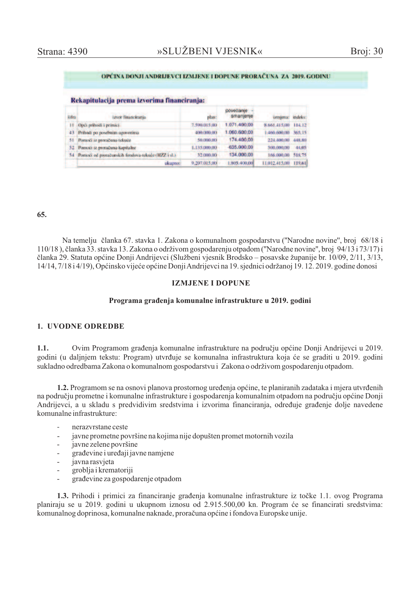#### OPĆINA DONJI ANDRLJEVCI IZMJENE I DOPUNE PRORAČUNA ZA 2019. GODINU

#### Rekapitulacija prema izvorima financiranja:

| <b>Rifra</b> | izvor financirania.                                    | plan:        | povećanie<br>smanjenje | ismiena:           | indeks: |
|--------------|--------------------------------------------------------|--------------|------------------------|--------------------|---------|
|              | 11 Opći prihodi i primici.                             | 7,590,015,00 | 1.071.400.00           | 8.661.415.00       | 114.12  |
| $43^{\circ}$ | Prihodi po posebnim ugovorima                          | 400.000.00   | 1.060.600.00           | 4606600.00         | 365,15  |
| 51           | Pomoći iz proračuna tekuće                             | 50,000,00    | 174,400.00             | 2.24.400.00 448.80 |         |
|              | 52 Pontoci iz proračuna-kapitalne                      | 1.135.000.00 | $-635,000,00$          | 500.000,00         | 44,05   |
|              | 54 Pontoci od proračunskih fondova-teknee (HZZ i sl.). | 32/000.00    | 134,000.00             | 166.000,001        | 518.75  |
|              | ali upmo:                                              | 9.207.015.00 | 805 400,000            | 11.012.415.00      | 119,61  |

### 65.

Na temelju članka 67. stavka 1. Zakona o komunalnom gospodarstvu ("Narodne novine", broj 68/18 i 110/18), članka 33. stavka 13. Zakona o održivom gospodarenju otpadom ("Narodne novine", broj 94/13 i 73/17) i članka 29. Statuta općine Donji Andrijevci (Službeni vjesnik Brodsko – posavske županije br. 10/09, 2/11, 3/13, 14/14, 7/18 i 4/19), Općinsko vijeće općine Donji Andrijevci na 19. sjednici održanoj 19. 12. 2019. godine donosi

### **IZMJENE I DOPIJNE**

### Programa građenja komunalne infrastrukture u 2019. godini

### 1. UVODNE ODREDBE

Ovim Programom građenja komunalne infrastrukture na području općine Donji Andrijevci u 2019.  $1.1.$ godini (u daljnjem tekstu: Program) utvrđuje se komunalna infrastruktura koja će se graditi u 2019. godini sukladno odredbama Zakona o komunalnom gospodarstvu i Zakona o održivom gospodarenju otpadom.

1.2. Programom se na osnovi planova prostornog uređenja općine, te planiranih zadataka i mjera utvrđenih na području prometne i komunalne infrastrukture i gospodarenja komunalnim otpadom na području općine Donji Andrijevci, a u skladu s predvidivim sredstvima i izvorima financiranja, određuje građenje dolje navedene komunalne infrastrukture:

- nerazvrstane ceste
- javne prometne površine na kojima nije dopušten promet motornih vozila
- javne zelene površine  $\overline{a}$
- građevine i uređaji javne namjene
- javna rasvjeta
- groblja i krematoriji
- građevine za gospodarenje otpadom

1.3. Prihodi i primici za financiranje građenja komunalne infrastrukture iz točke 1.1. ovog Programa planiraju se u 2019. godini u ukupnom iznosu od 2.915.500,00 kn. Program će se financirati sredstvima: komunalnog doprinosa, komunalne naknade, proračuna općine i fondova Europske unije.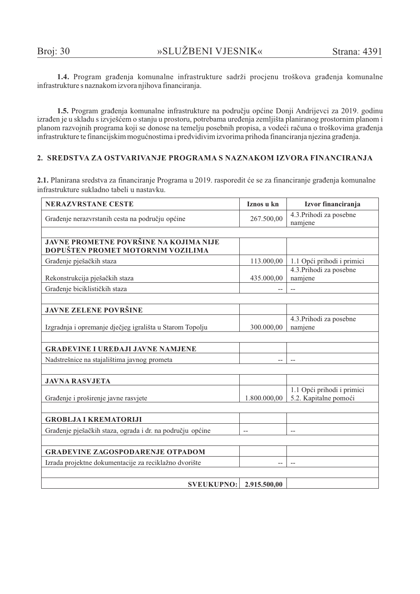1.4. Program građenja komunalne infrastrukture sadrži procjenu troškova građenja komunalne infrastrukture s naznakom izvora njihova financiranja.

1.5. Program građenja komunalne infrastrukture na području općine Donji Andrijevci za 2019. godinu izrađen je u skladu s izvješćem o stanju u prostoru, potrebama uređenja zemljišta planiranog prostornim planom i planom razvojnih programa koji se donose na temelju posebnih propisa, a vodeći računa o troškovima građenja infrastrukture te financijskim mogućnostima i predvidivim izvorima prihoda financiranja njezina građenja.

## 2. SREDSTVA ZA OSTVARIVANJE PROGRAMA S NAZNAKOM IZVORA FINANCIRANJA

2.1. Planirana sredstva za financiranje Programa u 2019. rasporedit će se za financiranje građenja komunalne infrastrukture sukladno tabeli u nastavku.

| <b>NERAZVRSTANE CESTE</b>                                 | Iznos u kn   | Izvor financiranja                 |  |  |
|-----------------------------------------------------------|--------------|------------------------------------|--|--|
| Građenje nerazvrstanih cesta na području općine           | 267.500,00   | 4.3. Prihodi za posebne<br>namjene |  |  |
|                                                           |              |                                    |  |  |
| <b>JAVNE PROMETNE POVRŠINE NA KOJIMA NIJE</b>             |              |                                    |  |  |
| DOPUŠTEN PROMET MOTORNIM VOZILIMA                         |              |                                    |  |  |
| Građenje pješačkih staza                                  | 113.000,00   | 1.1 Opći prihodi i primici         |  |  |
|                                                           |              | 4.3. Prihodi za posebne            |  |  |
| Rekonstrukcija pješačkih staza                            | 435.000,00   | namjene                            |  |  |
| Građenje biciklističkih staza                             |              |                                    |  |  |
|                                                           |              |                                    |  |  |
| <b>JAVNE ZELENE POVRŠINE</b>                              |              |                                    |  |  |
|                                                           |              | 4.3. Prihodi za posebne            |  |  |
| Izgradnja i opremanje dječjeg igrališta u Starom Topolju  | 300.000,00   | namjene                            |  |  |
|                                                           |              |                                    |  |  |
| <b>GRAĐEVINE I UREĐAJI JAVNE NAMJENE</b>                  |              |                                    |  |  |
| Nadstrešnice na stajalištima javnog prometa               |              |                                    |  |  |
|                                                           |              |                                    |  |  |
| <b>JAVNA RASVJETA</b>                                     |              |                                    |  |  |
|                                                           |              | 1.1 Opći prihodi i primici         |  |  |
| Građenje i proširenje javne rasvjete                      | 1.800.000,00 | 5.2. Kapitalne pomoći              |  |  |
|                                                           |              |                                    |  |  |
| <b>GROBLJA I KREMATORIJI</b>                              |              |                                    |  |  |
| Građenje pješačkih staza, ograda i dr. na području općine |              |                                    |  |  |
|                                                           |              |                                    |  |  |
| <b>GRAĐEVINE ZAGOSPODARENJE OTPADOM</b>                   |              |                                    |  |  |
| Izrada projektne dokumentacije za reciklažno dvorište     |              |                                    |  |  |
|                                                           |              |                                    |  |  |
| <b>SVEUKUPNO:</b>                                         | 2.915.500,00 |                                    |  |  |
|                                                           |              |                                    |  |  |